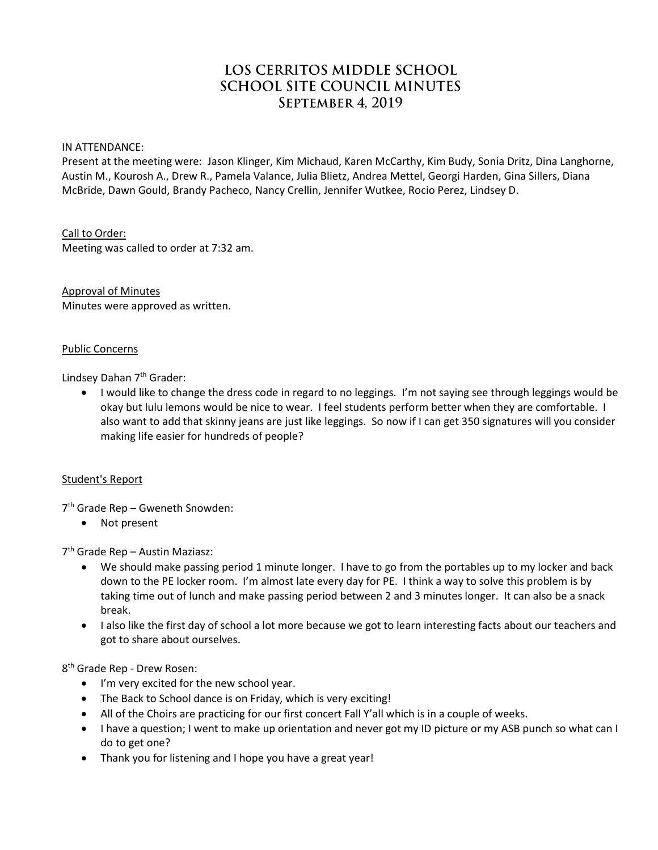# LOS CERRITOS MIDDLE SCHOOL **SCHOOL SITE COUNCIL MINUTES SEPTEMBER 4. 2019**

IN ATTENDANCE:

Present at the meeting were: Jason Klinger, Kim Michaud, Karen McCarthy, Kim Budy, Sonia Dritz, Dina Langhorne, Austin M., Kourosh A., Drew R., Pamela Valance, Julia Blietz, Andrea Mettel, Georgi Harden, Gina Sillers, Diana McBride, Dawn Gould, Brandy Pacheco, Nancy Crellin, Jennifer Wutkee, Rocio Perez, Lindsey D.

Call to Order:

Meeting was called to order at 7:32 am.

Approval of Minutes Minutes were approved as written.

#### Public Concerns

Lindsey Dahan 7<sup>th</sup> Grader:

 I would like to change the dress code in regard to no leggings. I'm not saying see through leggings would be okay but lulu lemons would be nice to wear. I feel students perform better when they are comfortable. I also want to add that skinny jeans are just like leggings. So now if I can get 350 signatures will you consider making life easier for hundreds of people?

### Student's Report

7 th Grade Rep – Gweneth Snowden:

• Not present

7 th Grade Rep – Austin Maziasz:

- We should make passing period 1 minute longer. I have to go from the portables up to my locker and back down to the PE locker room. I'm almost late every day for PE. I think a way to solve this problem is by taking time out of lunch and make passing period between 2 and 3 minutes longer. It can also be a snack break.
- I also like the first day of school a lot more because we got to learn interesting facts about our teachers and got to share about ourselves.

8 th Grade Rep - Drew Rosen:

- I'm very excited for the new school year.
- The Back to School dance is on Friday, which is very exciting!
- All of the Choirs are practicing for our first concert Fall Y'all which is in a couple of weeks.
- I have a question; I went to make up orientation and never got my ID picture or my ASB punch so what can I do to get one?
- Thank you for listening and I hope you have a great year!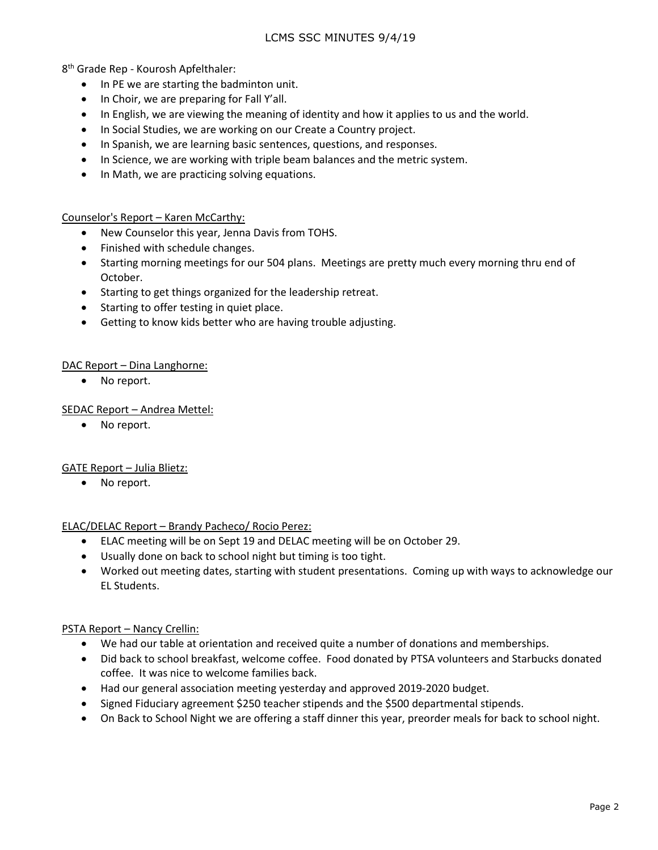8 th Grade Rep - Kourosh Apfelthaler:

- In PE we are starting the badminton unit.
- In Choir, we are preparing for Fall Y'all.
- In English, we are viewing the meaning of identity and how it applies to us and the world.
- In Social Studies, we are working on our Create a Country project.
- In Spanish, we are learning basic sentences, questions, and responses.
- In Science, we are working with triple beam balances and the metric system.
- In Math, we are practicing solving equations.

### Counselor's Report – Karen McCarthy:

- New Counselor this year, Jenna Davis from TOHS.
- Finished with schedule changes.
- Starting morning meetings for our 504 plans. Meetings are pretty much every morning thru end of October.
- Starting to get things organized for the leadership retreat.
- Starting to offer testing in quiet place.
- Getting to know kids better who are having trouble adjusting.

### DAC Report – Dina Langhorne:

• No report.

### SEDAC Report – Andrea Mettel:

• No report.

### GATE Report – Julia Blietz:

• No report.

### ELAC/DELAC Report – Brandy Pacheco/ Rocio Perez:

- ELAC meeting will be on Sept 19 and DELAC meeting will be on October 29.
- Usually done on back to school night but timing is too tight.
- Worked out meeting dates, starting with student presentations. Coming up with ways to acknowledge our EL Students.

### PSTA Report – Nancy Crellin:

- We had our table at orientation and received quite a number of donations and memberships.
- Did back to school breakfast, welcome coffee. Food donated by PTSA volunteers and Starbucks donated coffee. It was nice to welcome families back.
- Had our general association meeting yesterday and approved 2019-2020 budget.
- Signed Fiduciary agreement \$250 teacher stipends and the \$500 departmental stipends.
- On Back to School Night we are offering a staff dinner this year, preorder meals for back to school night.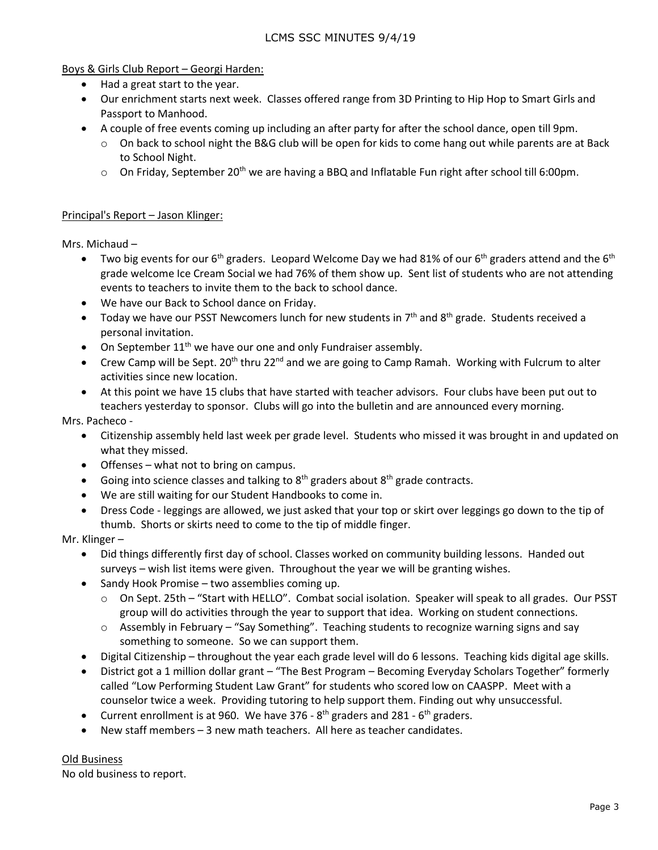Boys & Girls Club Report – Georgi Harden:

- Had a great start to the year.
- Our enrichment starts next week. Classes offered range from 3D Printing to Hip Hop to Smart Girls and Passport to Manhood.
- A couple of free events coming up including an after party for after the school dance, open till 9pm.
	- $\circ$  On back to school night the B&G club will be open for kids to come hang out while parents are at Back to School Night.
	- $\circ$  On Friday, September 20<sup>th</sup> we are having a BBQ and Inflatable Fun right after school till 6:00pm.

## Principal's Report – Jason Klinger:

Mrs. Michaud –

- Two big events for our 6<sup>th</sup> graders. Leopard Welcome Day we had 81% of our 6<sup>th</sup> graders attend and the 6<sup>th</sup> grade welcome Ice Cream Social we had 76% of them show up. Sent list of students who are not attending events to teachers to invite them to the back to school dance.
- We have our Back to School dance on Friday.
- Today we have our PSST Newcomers lunch for new students in  $7<sup>th</sup>$  and  $8<sup>th</sup>$  grade. Students received a personal invitation.
- On September  $11<sup>th</sup>$  we have our one and only Fundraiser assembly.
- Crew Camp will be Sept.  $20^{th}$  thru  $22^{nd}$  and we are going to Camp Ramah. Working with Fulcrum to alter activities since new location.
- At this point we have 15 clubs that have started with teacher advisors. Four clubs have been put out to teachers yesterday to sponsor. Clubs will go into the bulletin and are announced every morning.

Mrs. Pacheco -

- Citizenship assembly held last week per grade level. Students who missed it was brought in and updated on what they missed.
- Offenses what not to bring on campus.
- Going into science classes and talking to  $8<sup>th</sup>$  graders about  $8<sup>th</sup>$  grade contracts.
- We are still waiting for our Student Handbooks to come in.
- Dress Code leggings are allowed, we just asked that your top or skirt over leggings go down to the tip of thumb. Shorts or skirts need to come to the tip of middle finger.

Mr. Klinger –

- Did things differently first day of school. Classes worked on community building lessons. Handed out surveys – wish list items were given. Throughout the year we will be granting wishes.
- Sandy Hook Promise two assemblies coming up.
	- $\circ$  On Sept. 25th "Start with HELLO". Combat social isolation. Speaker will speak to all grades. Our PSST group will do activities through the year to support that idea. Working on student connections.
	- $\circ$  Assembly in February "Say Something". Teaching students to recognize warning signs and say something to someone. So we can support them.
- Digital Citizenship throughout the year each grade level will do 6 lessons. Teaching kids digital age skills.
- District got a 1 million dollar grant "The Best Program Becoming Everyday Scholars Together" formerly called "Low Performing Student Law Grant" for students who scored low on CAASPP. Meet with a counselor twice a week. Providing tutoring to help support them. Finding out why unsuccessful.
- Current enrollment is at 960. We have 376  $8<sup>th</sup>$  graders and 281  $6<sup>th</sup>$  graders.
- New staff members 3 new math teachers. All here as teacher candidates.

Old Business No old business to report.